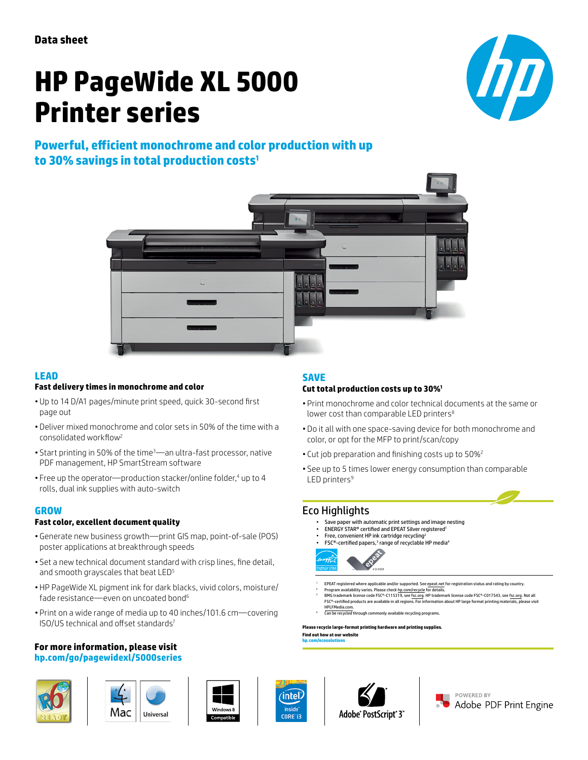**Data sheet**

# **HP PageWide XL 5000 Printer series**



## **Powerful, efficient monochrome and color production with up to 30% savings in total production costs<sup>1</sup>**



#### **LEAD**

#### **Fast delivery times in monochrome and color**

- Up to 14 D/A1 pages/minute print speed, quick 30-second first page out
- Deliver mixed monochrome and color sets in 50% of the time with a consolidated workflow<sup>2</sup>
- Start printing in 50% of the time3—an ultra-fast processor, native PDF management, HP SmartStream software
- Free up the operator—production stacker/online folder,<sup>4</sup> up to 4 rolls, dual ink supplies with auto-switch

#### **GROW**

#### **Fast color, excellent document quality**

- Generate new business growth—print GIS map, point-of-sale (POS) poster applications at breakthrough speeds
- Set a new technical document standard with crisp lines, fine detail, and smooth grayscales that beat LED<sup>5</sup>
- HP PageWide XL pigment ink for dark blacks, vivid colors, moisture/ fade resistance—even on uncoated bond<sup>6</sup>
- Print on a wide range of media up to 40 inches/101.6 cm—covering ISO/US technical and offset standards<sup>7</sup>

## **For more information, please visit**

#### **[hp.com/go/pagewidexl/](http://www.hp.com/go/pagewidexl/5000series)5000series**













#### **SAVE**

#### **Cut total production costs up to 30%<sup>1</sup>**

- Print monochrome and color technical documents at the same or lower cost than comparable LED printers<sup>8</sup>
- Do it all with one space-saving device for both monochrome and color, or opt for the MFP to print/scan/copy
- Cut job preparation and finishing costs up to 50%<sup>2</sup>
- See up to 5 times lower energy consumption than comparable  $LED$  printers<sup>9</sup>

#### Eco Highlights

**[hp.com/ecosolutions](http://www.hp.com/ecosolutions)**

- Save paper with automatic print settings and image nesting
- ENERGY STAR® certified and EPEAT Silver registered1
- Free, convenient HP ink cartridge recycling2 • FSC®-certified papers,3 range of recyclable HP media4



- EPEAT registered where applicable and/or supported. Se[e epeat.net f](http://www.epeat.net)or registration status and rating by country.
- <sup>2</sup> Program availability varies. Please check h<u>p.com/recycle</u> for details.<br><sup>3</sup> BMG trademark license code FSC®-C115319, se[e fsc.org. H](http://www.fsc.org)P trademark license code FSC®-C017543, see [fsc.org. N](http://www.fsc.org)ot all FSC®-certified products are available in all regions. For information about HP large format printing materials
- HPLFMedia.com ough commonly available recycling programs

**Please recycle large-format printing hardware and printing supplies. Find out how at our website**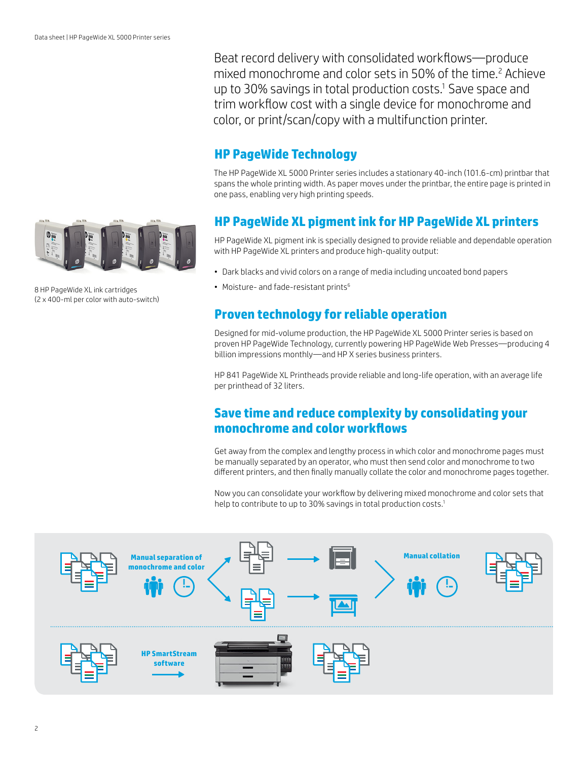

8 HP PageWide XL ink cartridges (2 x 400-ml per color with auto-switch)

Beat record delivery with consolidated workflows—produce mixed monochrome and color sets in 50% of the time.<sup>2</sup> Achieve up to 30% savings in total production costs.<sup>1</sup> Save space and trim workflow cost with a single device for monochrome and color, or print/scan/copy with a multifunction printer.

## **HP PageWide Technology**

The HP PageWide XL 5000 Printer series includes a stationary 40-inch (101.6-cm) printbar that spans the whole printing width. As paper moves under the printbar, the entire page is printed in one pass, enabling very high printing speeds.

## **HP PageWide XL pigment ink for HP PageWide XL printers**

HP PageWide XL pigment ink is specially designed to provide reliable and dependable operation with HP PageWide XL printers and produce high-quality output:

- Dark blacks and vivid colors on a range of media including uncoated bond papers
- Moisture- and fade-resistant prints<sup>6</sup>

## **Proven technology for reliable operation**

Designed for mid-volume production, the HP PageWide XL 5000 Printer series is based on proven HP PageWide Technology, currently powering HP PageWide Web Presses—producing 4 billion impressions monthly—and HP X series business printers.

HP 841 PageWide XL Printheads provide reliable and long-life operation, with an average life per printhead of 32 liters.

## **Save time and reduce complexity by consolidating your monochrome and color workflows**

Get away from the complex and lengthy process in which color and monochrome pages must be manually separated by an operator, who must then send color and monochrome to two different printers, and then finally manually collate the color and monochrome pages together.

Now you can consolidate your workflow by delivering mixed monochrome and color sets that help to contribute to up to 30% savings in total production costs.<sup>1</sup>